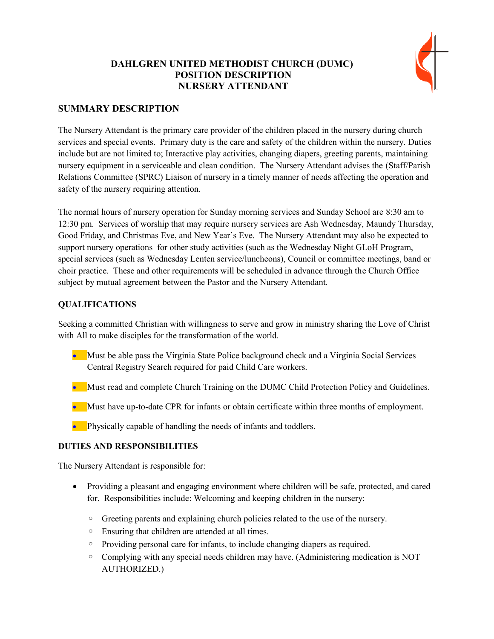# **DAHLGREN UNITED METHODIST CHURCH (DUMC) POSITION DESCRIPTION NURSERY ATTENDANT**



## **SUMMARY DESCRIPTION**

The Nursery Attendant is the primary care provider of the children placed in the nursery during church services and special events. Primary duty is the care and safety of the children within the nursery. Duties include but are not limited to; Interactive play activities, changing diapers, greeting parents, maintaining nursery equipment in a serviceable and clean condition. The Nursery Attendant advises the (Staff/Parish Relations Committee (SPRC) Liaison of nursery in a timely manner of needs affecting the operation and safety of the nursery requiring attention.

The normal hours of nursery operation for Sunday morning services and Sunday School are 8:30 am to 12:30 pm. Services of worship that may require nursery services are Ash Wednesday, Maundy Thursday, Good Friday, and Christmas Eve, and New Year's Eve. The Nursery Attendant may also be expected to support nursery operations for other study activities (such as the Wednesday Night GLoH Program, special services (such as Wednesday Lenten service/luncheons), Council or committee meetings, band or choir practice. These and other requirements will be scheduled in advance through the Church Office subject by mutual agreement between the Pastor and the Nursery Attendant.

#### **QUALIFICATIONS**

Seeking a committed Christian with willingness to serve and grow in ministry sharing the Love of Christ with All to make disciples for the transformation of the world.

- Must be able pass the Virginia State Police background check and a Virginia Social Services Central Registry Search required for paid Child Care workers.
- Must read and complete Church Training on the DUMC Child Protection Policy and Guidelines.
- **Must have up-to-date CPR for infants or obtain certificate within three months of employment.**
- **•** Physically capable of handling the needs of infants and toddlers.

## **DUTIES AND RESPONSIBILITIES**

The Nursery Attendant is responsible for:

- Providing a pleasant and engaging environment where children will be safe, protected, and cared for. Responsibilities include: Welcoming and keeping children in the nursery:
	- Greeting parents and explaining church policies related to the use of the nursery.
	- Ensuring that children are attended at all times.
	- Providing personal care for infants, to include changing diapers as required.
	- Complying with any special needs children may have. (Administering medication is NOT AUTHORIZED.)